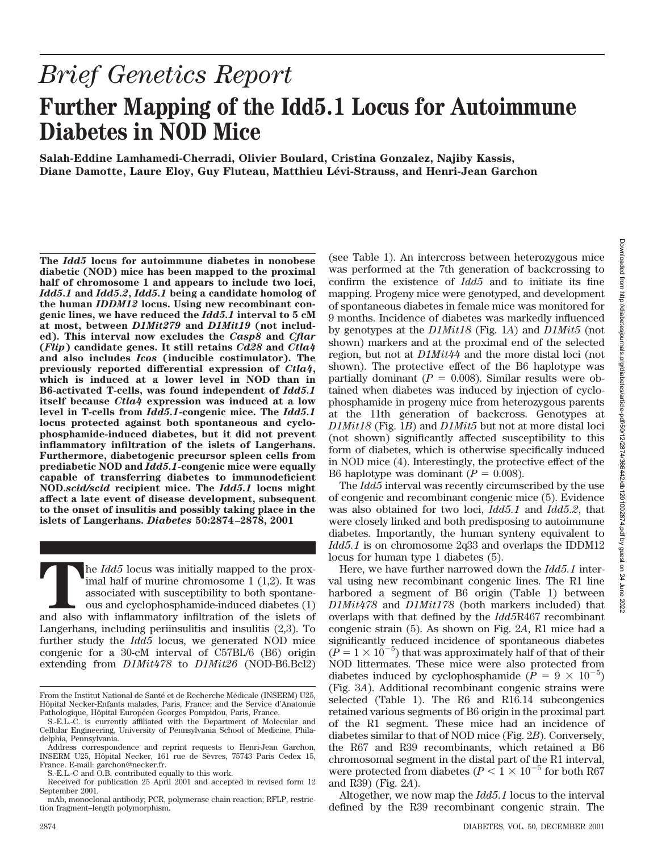# *Brief Genetics Report* **Further Mapping of the Idd5.1 Locus for Autoimmune Diabetes in NOD Mice**

**Salah-Eddine Lamhamedi-Cherradi, Olivier Boulard, Cristina Gonzalez, Najiby Kassis, Diane Damotte, Laure Eloy, Guy Fluteau, Matthieu Le´vi-Strauss, and Henri-Jean Garchon**

**The** *Idd5* **locus for autoimmune diabetes in nonobese diabetic (NOD) mice has been mapped to the proximal half of chromosome 1 and appears to include two loci,** *Idd5.1* **and** *Idd5.2***,** *Idd5.1* **being a candidate homolog of the human** *IDDM12* **locus. Using new recombinant congenic lines, we have reduced the** *Idd5.1* **interval to 5 cM at most, between** *D1Mit279* **and** *D1Mit19* **(not included). This interval now excludes the** *Casp8* **and** *Cflar* **(***Flip***) candidate genes. It still retains** *Cd28* **and** *Ctla4* **and also includes** *Icos* **(inducible costimulator). The previously reported differential expression of** *Ctla4***, which is induced at a lower level in NOD than in B6-activated T-cells, was found independent of** *Idd5.1* **itself because** *Ctla4* **expression was induced at a low level in T-cells from** *Idd5.1***-congenic mice. The** *Idd5.1* **locus protected against both spontaneous and cyclophosphamide-induced diabetes, but it did not prevent inflammatory infiltration of the islets of Langerhans. Furthermore, diabetogenic precursor spleen cells from prediabetic NOD and** *Idd5.1***-congenic mice were equally capable of transferring diabetes to immunodeficient NOD.***scid/scid* **recipient mice. The** *Idd5.1* **locus might affect a late event of disease development, subsequent to the onset of insulitis and possibly taking place in the islets of Langerhans.** *Diabetes* **50:2874–2878, 2001**

The *Idd5* locus was initially mapped to the prox-<br>
imal half of murine chromosome 1 (1,2). It was<br>
associated with susceptibility to both spontane-<br>
ous and cyclophosphamide-induced diabetes (1)<br>
and also with inflammator imal half of murine chromosome 1 (1,2). It was associated with susceptibility to both spontaneous and cyclophosphamide-induced diabetes (1) Langerhans, including periinsulitis and insulitis (2,3). To further study the *Idd5* locus, we generated NOD mice congenic for a 30-cM interval of C57BL/6 (B6) origin extending from *D1Mit478* to *D1Mit26* (NOD-B6.Bcl2)

(see Table 1). An intercross between heterozygous mice was performed at the 7th generation of backcrossing to confirm the existence of *Idd5* and to initiate its fine mapping. Progeny mice were genotyped, and development of spontaneous diabetes in female mice was monitored for 9 months. Incidence of diabetes was markedly influenced by genotypes at the *D1Mit18* (Fig. 1*A*) and *D1Mit5* (not shown) markers and at the proximal end of the selected region, but not at *D1Mit44* and the more distal loci (not shown). The protective effect of the B6 haplotype was partially dominant  $(P = 0.008)$ . Similar results were obtained when diabetes was induced by injection of cyclophosphamide in progeny mice from heterozygous parents at the 11th generation of backcross. Genotypes at *D1Mit18* (Fig. 1*B*) and *D1Mit5* but not at more distal loci (not shown) significantly affected susceptibility to this form of diabetes, which is otherwise specifically induced in NOD mice (4). Interestingly, the protective effect of the B6 haplotype was dominant  $(P = 0.008)$ .

The *Idd5* interval was recently circumscribed by the use of congenic and recombinant congenic mice (5). Evidence was also obtained for two loci, *Idd5.1* and *Idd5.2*, that were closely linked and both predisposing to autoimmune diabetes. Importantly, the human synteny equivalent to *Idd5.1* is on chromosome 2q33 and overlaps the IDDM12 locus for human type 1 diabetes (5).

Here, we have further narrowed down the *Idd5.1* interval using new recombinant congenic lines. The R1 line harbored a segment of B6 origin (Table 1) between *D1Mit478* and *D1Mit178* (both markers included) that overlaps with that defined by the *Idd5*R467 recombinant congenic strain (5). As shown on Fig. 2*A*, R1 mice had a significantly reduced incidence of spontaneous diabetes  $(P = 1 \times 10^{-5})$  that was approximately half of that of their NOD littermates. These mice were also protected from diabetes induced by cyclophosphamide  $(P = 9 \times 10^{-5})$ (Fig. 3*A*). Additional recombinant congenic strains were selected (Table 1). The R6 and R16.14 subcongenics retained various segments of B6 origin in the proximal part of the R1 segment. These mice had an incidence of diabetes similar to that of NOD mice (Fig. 2*B*). Conversely, the R67 and R39 recombinants, which retained a B6 chromosomal segment in the distal part of the R1 interval, were protected from diabetes ( $P < 1 \times 10^{-5}$  for both R67 and R39) (Fig. 2*A*).

Altogether, we now map the *Idd5.1* locus to the interval defined by the R39 recombinant congenic strain. The

From the Institut National de Santé et de Recherche Médicale (INSERM) U25, Hôpital Necker-Enfants malades, Paris, France; and the Service d'Anatomie Pathologique, Hôpital Européen Georges Pompidou, Paris, France.

S.-E.L.-C. is currently affiliated with the Department of Molecular and Cellular Engineering, University of Pennsylvania School of Medicine, Philadelphia, Pennsylvania.

Address correspondence and reprint requests to Henri-Jean Garchon, INSERM U25, Hôpital Necker, 161 rue de Sèvres, 75743 Paris Cedex 15, France. E-mail: garchon@necker.fr.

S.-E.L.-C and O.B. contributed equally to this work.

Received for publication 25 April 2001 and accepted in revised form 12 September 2001.

mAb, monoclonal antibody; PCR, polymerase chain reaction; RFLP, restriction fragment–length polymorphism.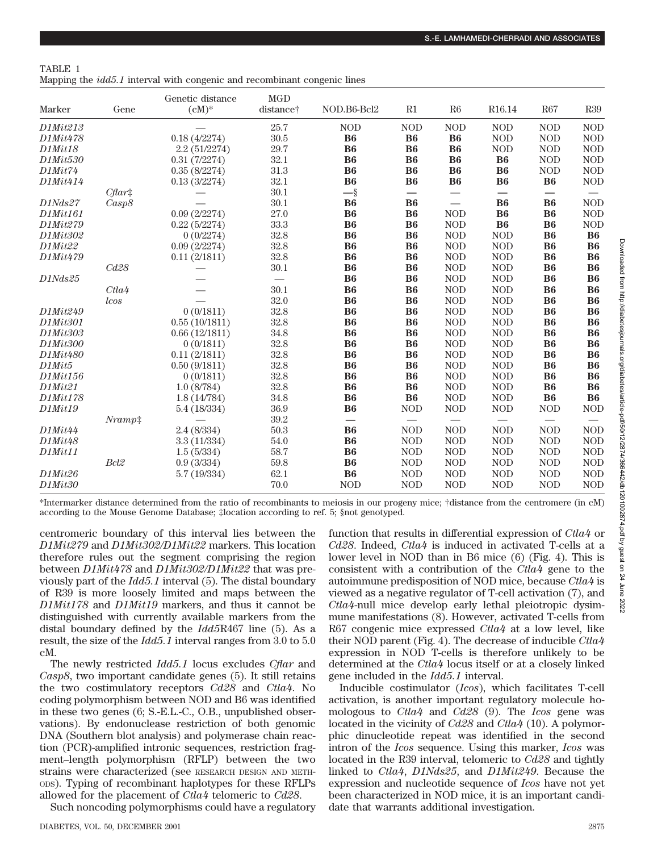| TABLE 1                                                                         |  |  |
|---------------------------------------------------------------------------------|--|--|
| Mapping the <i>idd5.1</i> interval with congenic and recombinant congenic lines |  |  |

| Marker              | Gene             | Genetic distance<br>$(cM)^*$ | <b>MGD</b><br>distance <sup>†</sup> | NOD.B6-Bcl2 | R1                       | R6                       | R16.14                   | R67                      | R39        |
|---------------------|------------------|------------------------------|-------------------------------------|-------------|--------------------------|--------------------------|--------------------------|--------------------------|------------|
| D1Mit213            |                  |                              | 25.7                                | <b>NOD</b>  | <b>NOD</b>               | <b>NOD</b>               | <b>NOD</b>               | <b>NOD</b>               | <b>NOD</b> |
| D1Mit478            |                  | 0.18(4/2274)                 | 30.5                                | <b>B6</b>   | <b>B6</b>                | <b>B6</b>                | <b>NOD</b>               | <b>NOD</b>               | <b>NOD</b> |
| <b>D1Mit18</b>      |                  | 2.2(51/2274)                 | 29.7                                | <b>B6</b>   | <b>B6</b>                | <b>B6</b>                | <b>NOD</b>               | <b>NOD</b>               | <b>NOD</b> |
| D1Mit530            |                  | 0.31(7/2274)                 | $32.1\,$                            | <b>B6</b>   | <b>B6</b>                | <b>B6</b>                | <b>B6</b>                | <b>NOD</b>               | <b>NOD</b> |
| D1Mit74             |                  | 0.35(8/2274)                 | 31.3                                | B6          | <b>B6</b>                | <b>B6</b>                | <b>B6</b>                | <b>NOD</b>               | <b>NOD</b> |
| D1Mit414            |                  | 0.13(3/2274)                 | 32.1                                | <b>B6</b>   | <b>B6</b>                | <b>B6</b>                | <b>B6</b>                | B <sub>6</sub>           | <b>NOD</b> |
|                     | $C\text{flar}$   |                              | 30.1                                | $-\S$       | $\overline{\phantom{0}}$ | $\overline{\phantom{0}}$ | $\overline{\phantom{0}}$ | $\overline{\phantom{0}}$ |            |
| D1Nds27             | Casp8            |                              | 30.1                                | B6          | <b>B6</b>                | $\overline{\phantom{0}}$ | B6                       | <b>B6</b>                | <b>NOD</b> |
| D1Mit161            |                  | 0.09(2/2274)                 | 27.0                                | <b>B6</b>   | <b>B6</b>                | <b>NOD</b>               | <b>B6</b>                | <b>B6</b>                | <b>NOD</b> |
| D1Mit279            |                  | 0.22(5/2274)                 | 33.3                                | <b>B6</b>   | <b>B6</b>                | <b>NOD</b>               | <b>B6</b>                | <b>B6</b>                | <b>NOD</b> |
| D1Mit302            |                  | 0(0/2274)                    | 32.8                                | B6          | <b>B6</b>                | <b>NOD</b>               | <b>NOD</b>               | <b>B6</b>                | <b>B6</b>  |
| D1Mit22             |                  | 0.09(2/2274)                 | 32.8                                | <b>B6</b>   | <b>B6</b>                | <b>NOD</b>               | <b>NOD</b>               | <b>B6</b>                | <b>B6</b>  |
| D1Mit479            |                  | 0.11(2/1811)                 | 32.8                                | <b>B6</b>   | <b>B6</b>                | <b>NOD</b>               | <b>NOD</b>               | <b>B6</b>                | <b>B6</b>  |
|                     | Cd28             |                              | 30.1                                | B6          | <b>B6</b>                | <b>NOD</b>               | <b>NOD</b>               | B6                       | <b>B6</b>  |
| D1Nds25             |                  |                              |                                     | <b>B6</b>   | <b>B6</b>                | <b>NOD</b>               | <b>NOD</b>               | <b>B6</b>                | <b>B6</b>  |
|                     | Ctla4            |                              | 30.1                                | <b>B6</b>   | <b>B6</b>                | <b>NOD</b>               | <b>NOD</b>               | <b>B6</b>                | <b>B6</b>  |
|                     | lcos             |                              | 32.0                                | B6          | B6                       | <b>NOD</b>               | <b>NOD</b>               | <b>B6</b>                | <b>B6</b>  |
| D1Mit249            |                  | 0(0/1811)                    | 32.8                                | <b>B6</b>   | <b>B6</b>                | <b>NOD</b>               | <b>NOD</b>               | <b>B6</b>                | <b>B6</b>  |
| D1Mit301            |                  | 0.55(10/1811)                | 32.8                                | <b>B6</b>   | <b>B6</b>                | <b>NOD</b>               | <b>NOD</b>               | <b>B6</b>                | <b>B6</b>  |
| D1Mit303            |                  | 0.66(12/1811)                | 34.8                                | B6          | <b>B6</b>                | <b>NOD</b>               | <b>NOD</b>               | <b>B6</b>                | <b>B6</b>  |
| <i>D1Mit300</i>     |                  | 0(0/1811)                    | 32.8                                | <b>B6</b>   | <b>B6</b>                | <b>NOD</b>               | <b>NOD</b>               | <b>B6</b>                | <b>B6</b>  |
| D1Mit480            |                  | 0.11(2/1811)                 | 32.8                                | <b>B6</b>   | <b>B6</b>                | <b>NOD</b>               | <b>NOD</b>               | <b>B6</b>                | <b>B6</b>  |
| D1Mit5              |                  | 0.50(9/1811)                 | 32.8                                | <b>B6</b>   | <b>B6</b>                | <b>NOD</b>               | <b>NOD</b>               | B <sub>6</sub>           | <b>B6</b>  |
| D1Mit156            |                  | 0(0/1811)                    | 32.8                                | <b>B6</b>   | <b>B6</b>                | <b>NOD</b>               | <b>NOD</b>               | <b>B6</b>                | <b>B6</b>  |
| D1Mit21             |                  | 1.0(8/784)                   | 32.8                                | <b>B6</b>   | <b>B6</b>                | <b>NOD</b>               | <b>NOD</b>               | <b>B6</b>                | <b>B6</b>  |
| D1Mit178            |                  | 1.8(14/784)                  | 34.8                                | <b>B6</b>   | B <sub>6</sub>           | <b>NOD</b>               | <b>NOD</b>               | B <sub>6</sub>           | <b>B6</b>  |
| <b>D1Mit19</b>      |                  | 5.4(18/334)                  | 36.9                                | <b>B6</b>   | <b>NOD</b>               | $\rm NOD$                | $\rm NOD$                | <b>NOD</b>               | <b>NOD</b> |
|                     | $Nramp$ :        |                              | 39.2                                | —           | $\equiv$                 |                          |                          |                          |            |
| D1Mit44             |                  | 2.4(8/334)                   | 50.3                                | <b>B6</b>   | <b>NOD</b>               | <b>NOD</b>               | <b>NOD</b>               | <b>NOD</b>               | <b>NOD</b> |
| D1Mit48             |                  | 3.3(11/334)                  | 54.0                                | <b>B6</b>   | <b>NOD</b>               | <b>NOD</b>               | <b>NOD</b>               | <b>NOD</b>               | <b>NOD</b> |
| D1Mit11             |                  | 1.5(5/334)                   | 58.7                                | <b>B6</b>   | <b>NOD</b>               | <b>NOD</b>               | <b>NOD</b>               | <b>NOD</b>               | <b>NOD</b> |
|                     | Bcl <sub>2</sub> | 0.9(3/334)                   | 59.8                                | <b>B6</b>   | <b>NOD</b>               | <b>NOD</b>               | <b>NOD</b>               | <b>NOD</b>               | <b>NOD</b> |
| D1Mit26             |                  | 5.7(19/334)                  | 62.1                                | <b>B6</b>   | <b>NOD</b>               | <b>NOD</b>               | <b>NOD</b>               | <b>NOD</b>               | <b>NOD</b> |
| D1Mit <sub>30</sub> |                  |                              | 70.0                                | <b>NOD</b>  | <b>NOD</b>               | <b>NOD</b>               | <b>NOD</b>               | <b>NOD</b>               | <b>NOD</b> |

\*Intermarker distance determined from the ratio of recombinants to meiosis in our progeny mice; †distance from the centromere (in cM) according to the Mouse Genome Database; ‡location according to ref. 5; §not genotyped.

centromeric boundary of this interval lies between the *D1Mit279* and *D1Mit302/D1Mit22* markers. This location therefore rules out the segment comprising the region between *D1Mit478* and *D1Mit302/D1Mit22* that was previously part of the *Idd5.1* interval (5). The distal boundary of R39 is more loosely limited and maps between the *D1Mit178* and *D1Mit19* markers, and thus it cannot be distinguished with currently available markers from the distal boundary defined by the *Idd5*R467 line (5). As a result, the size of the *Idd5.1* interval ranges from 3.0 to 5.0 cM.

The newly restricted *Idd5.1* locus excludes *Cflar* and *Casp8*, two important candidate genes (5). It still retains the two costimulatory receptors *Cd28* and *Ctla4*. No coding polymorphism between NOD and B6 was identified in these two genes (6; S.-E.L.-C., O.B., unpublished observations). By endonuclease restriction of both genomic DNA (Southern blot analysis) and polymerase chain reaction (PCR)-amplified intronic sequences, restriction fragment–length polymorphism (RFLP) between the two strains were characterized (see RESEARCH DESIGN AND METH-ODS). Typing of recombinant haplotypes for these RFLPs allowed for the placement of *Ctla4* telomeric to *Cd28*.

Such noncoding polymorphisms could have a regulatory

DIABETES, VOL. 50, DECEMBER 2001 2875

function that results in differential expression of *Ctla4* or *Cd28*. Indeed, *Ctla4* is induced in activated T-cells at a lower level in NOD than in B6 mice (6) (Fig. 4). This is consistent with a contribution of the *Ctla4* gene to the autoimmune predisposition of NOD mice, because *Ctla4* is viewed as a negative regulator of T-cell activation (7), and *Ctla4*-null mice develop early lethal pleiotropic dysimmune manifestations (8). However, activated T-cells from R67 congenic mice expressed *Ctla4* at a low level, like their NOD parent (Fig. 4). The decrease of inducible *Ctla4* expression in NOD T-cells is therefore unlikely to be determined at the *Ctla4* locus itself or at a closely linked gene included in the *Idd5.1* interval.

Inducible costimulator (*Icos*), which facilitates T-cell activation, is another important regulatory molecule homologous to *Ctla4* and *Cd28* (9). The *Icos* gene was located in the vicinity of *Cd28* and *Ctla4* (10). A polymorphic dinucleotide repeat was identified in the second intron of the *Icos* sequence. Using this marker, *Icos* was located in the R39 interval, telomeric to *Cd28* and tightly linked to *Ctla4*, *D1Nds25*, and *D1Mit249*. Because the expression and nucleotide sequence of *Icos* have not yet been characterized in NOD mice, it is an important candidate that warrants additional investigation.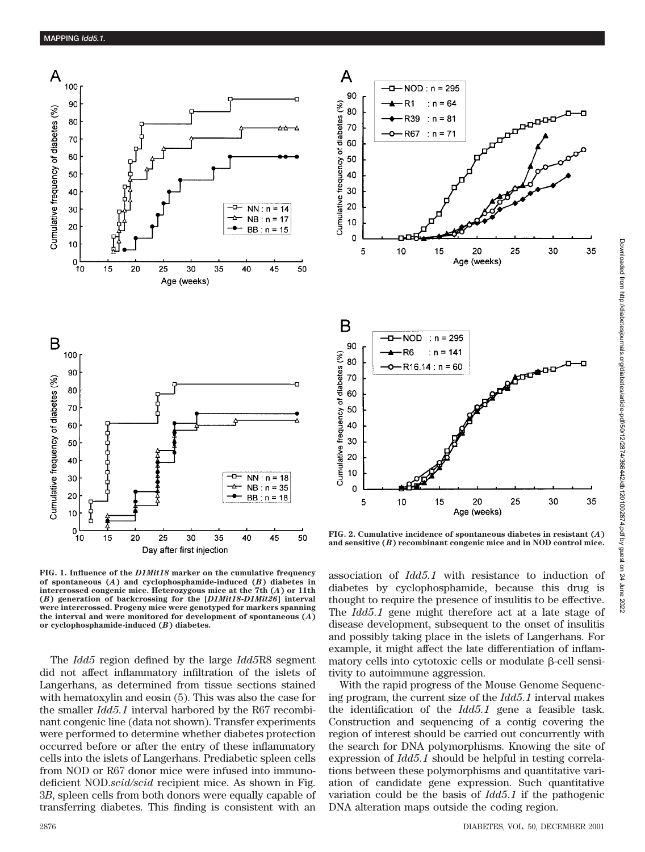

**FIG. 1. Influence of the** *D1Mit18* **marker on the cumulative frequency of spontaneous (***A***) and cyclophosphamide-induced (***B***) diabetes in intercrossed congenic mice. Heterozygous mice at the 7th (***A***) or 11th (***B***) generation of backcrossing for the [***D1Mit18***-***D1Mit26***] interval were intercrossed. Progeny mice were genotyped for markers spanning the interval and were monitored for development of spontaneous (***A***) or cyclophosphamide-induced (***B***) diabetes.**

The *Idd5* region defined by the large *Idd5*R8 segment did not affect inflammatory infiltration of the islets of Langerhans, as determined from tissue sections stained with hematoxylin and eosin (5). This was also the case for the smaller *Idd5.1* interval harbored by the R67 recombinant congenic line (data not shown). Transfer experiments were performed to determine whether diabetes protection occurred before or after the entry of these inflammatory cells into the islets of Langerhans. Prediabetic spleen cells from NOD or R67 donor mice were infused into immunodeficient NOD.*scid/scid* recipient mice. As shown in Fig. 3*B*, spleen cells from both donors were equally capable of transferring diabetes. This finding is consistent with an 35

35

**FIG. 2. Cumulative incidence of spontaneous diabetes in resistant (***A***) and sensitive (***B***) recombinant congenic mice and in NOD control mice.**

association of *Idd5.1* with resistance to induction of diabetes by cyclophosphamide, because this drug is thought to require the presence of insulitis to be effective. The *Idd5.1* gene might therefore act at a late stage of disease development, subsequent to the onset of insulitis and possibly taking place in the islets of Langerhans. For example, it might affect the late differentiation of inflammatory cells into cytotoxic cells or modulate  $\beta$ -cell sensitivity to autoimmune aggression.

With the rapid progress of the Mouse Genome Sequencing program, the current size of the *Idd5.1* interval makes the identification of the *Idd5.1* gene a feasible task. Construction and sequencing of a contig covering the region of interest should be carried out concurrently with the search for DNA polymorphisms. Knowing the site of expression of *Idd5.1* should be helpful in testing correlations between these polymorphisms and quantitative variation of candidate gene expression. Such quantitative variation could be the basis of *Idd5.1* if the pathogenic DNA alteration maps outside the coding region.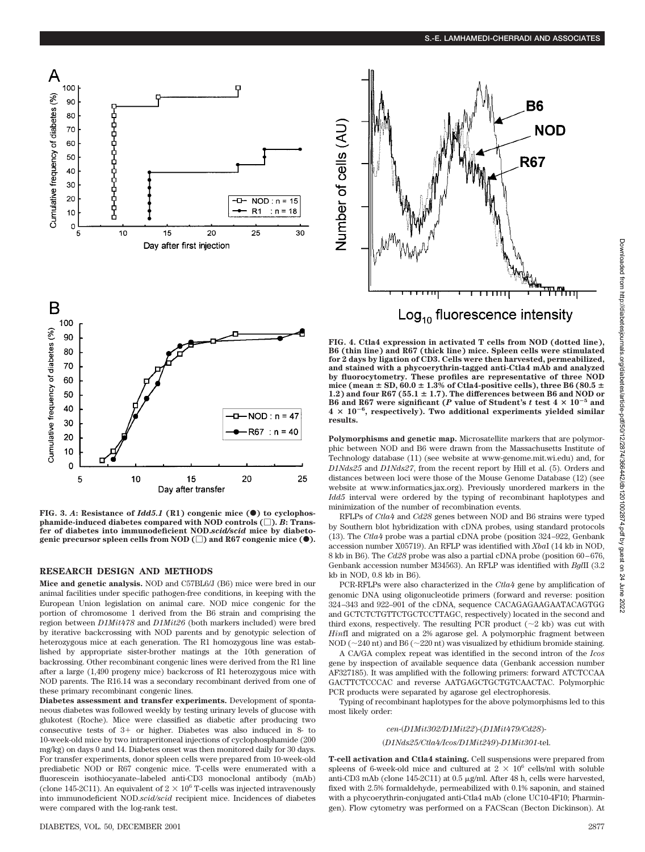



Cumulative frequency of diabetes (%)  $-NOD: n = 47$ 30  $R67 : n = 40$ 20  $10$  $\Omega$ 25 5 10 20 15 Day after transfer

**FIG.** 3. A: Resistance of  $Idd5.1$  (R1) congenic mice ( $\bullet$ ) to cyclophos**phamide-induced diabetes compared with NOD controls ().** *B***: Transfer of diabetes into immunodeficient NOD.***scid/scid* **mice by diabeto**genic precursor spleen cells from NOD ( $\Box$ ) and R67 congenic mice ( $\bullet$ ).

## **RESEARCH DESIGN AND METHODS**

**Mice and genetic analysis.** NOD and C57BL6/J (B6) mice were bred in our animal facilities under specific pathogen-free conditions, in keeping with the European Union legislation on animal care. NOD mice congenic for the portion of chromosome 1 derived from the B6 strain and comprising the region between *D1Mit478* and *D1Mit26* (both markers included) were bred by iterative backcrossing with NOD parents and by genotypic selection of heterozygous mice at each generation. The R1 homozygous line was established by appropriate sister-brother matings at the 10th generation of backrossing. Other recombinant congenic lines were derived from the R1 line after a large (1,490 progeny mice) backcross of R1 heterozygous mice with NOD parents. The R16.14 was a secondary recombinant derived from one of these primary recombinant congenic lines.

**Diabetes assessment and transfer experiments.** Development of spontaneous diabetes was followed weekly by testing urinary levels of glucose with glukotest (Roche). Mice were classified as diabetic after producing two consecutive tests of  $3+$  or higher. Diabetes was also induced in 8- to 10-week-old mice by two intraperitoneal injections of cyclophosphamide (200 mg/kg) on days 0 and 14. Diabetes onset was then monitored daily for 30 days. For transfer experiments, donor spleen cells were prepared from 10-week-old prediabetic NOD or R67 congenic mice. T-cells were enumerated with a fluorescein isothiocyanate–labeled anti-CD3 monoclonal antibody (mAb) (clone 145-2C11). An equivalent of  $2 \times 10^6$  T-cells was injected intravenously into immunodeficient NOD.*scid/scid* recipient mice. Incidences of diabetes were compared with the log-rank test.

**FIG. 4. Ctla4 expression in activated T cells from NOD (dotted line), B6 (thin line) and R67 (thick line) mice. Spleen cells were stimulated for 2 days by ligation of CD3. Cells were then harvested, permeabilized, and stained with a phycoerythrin-tagged anti-Ctla4 mAb and analyzed by fluorocytometry. These profiles are representative of three NOD** mice (mean  $\pm$  SD, 60.0  $\pm$  1.3% of Ctla4-positive cells), three B6 (80.5  $\pm$ 1.2) and four  $R67$  (55.1  $\pm$  1.7). The differences between B6 and NOD or B6 and R67 were significant (*P* value of Student's  $t$  test  $4 \times 10^{-5}$  and  $4 \times 10^{-6}$ , respectively). Two additional experiments yielded similar **results.**

**Polymorphisms and genetic map.** Microsatellite markers that are polymorphic between NOD and B6 were drawn from the Massachusetts Institute of Technology database (11) (see website at www-genome.mit.wi.edu) and, for *D1Nds25* and *D1Nds27*, from the recent report by Hill et al. (5). Orders and distances between loci were those of the Mouse Genome Database (12) (see website at www.informatics.jax.org). Previously unordered markers in the *Idd5* interval were ordered by the typing of recombinant haplotypes and minimization of the number of recombination events.

RFLPs of *Ctla4* and *Cd28* genes between NOD and B6 strains were typed by Southern blot hybridization with cDNA probes, using standard protocols (13). The *Ctla4* probe was a partial cDNA probe (position 324–922, Genbank accession number X05719). An RFLP was identified with *Xba*I (14 kb in NOD, 8 kb in B6). The *Cd28* probe was also a partial cDNA probe (position 60–676, Genbank accession number M34563). An RFLP was identified with *Bgl*II (3.2 kb in NOD, 0.8 kb in B6).

PCR-RFLPs were also characterized in the *Ctla4* gene by amplification of genomic DNA using oligonucleotide primers (forward and reverse: position 324–343 and 922–901 of the cDNA, sequence CACAGAGAAGAATACAGTGG and GCTCTCTGTTCTGCTCCTTAGC, respectively) located in the second and third exons, respectively. The resulting PCR product  $(\sim2 \text{ kb})$  was cut with *Hin*fI and migrated on a 2% agarose gel. A polymorphic fragment between NOD ( $\sim$ 240 nt) and B6 ( $\sim$ 220 nt) was visualized by ethidium bromide staining.

A CA/GA complex repeat was identified in the second intron of the *Icos* gene by inspection of available sequence data (Genbank accession number AF327185). It was amplified with the following primers: forward ATCTCCAA GACTTCTCCCAC and reverse AATGAGCTGCTGTCAACTAC. Polymorphic PCR products were separated by agarose gel electrophoresis.

Typing of recombinant haplotypes for the above polymorphisms led to this most likely order:

## *cen*-*D1Mit302/D1Mit22*)-(*D1Mit479/Cd28*)-

*D1Nds25/Ctla4/Icos/D1Mit249*)-*D1Mit301*-tel.

**T-cell activation and Ctla4 staining.** Cell suspensions were prepared from spleens of 6-week-old mice and cultured at  $2 \times 10^6$  cells/ml with soluble anti-CD3 mAb (clone 145-2C11) at  $0.5 \mu$ g/ml. After 48 h, cells were harvested, fixed with 2.5% formaldehyde, permeabilized with 0.1% saponin, and stained with a phycoerythrin-conjugated anti-Ctla4 mAb (clone UC10-4F10; Pharmingen). Flow cytometry was performed on a FACScan (Becton Dickinson). At